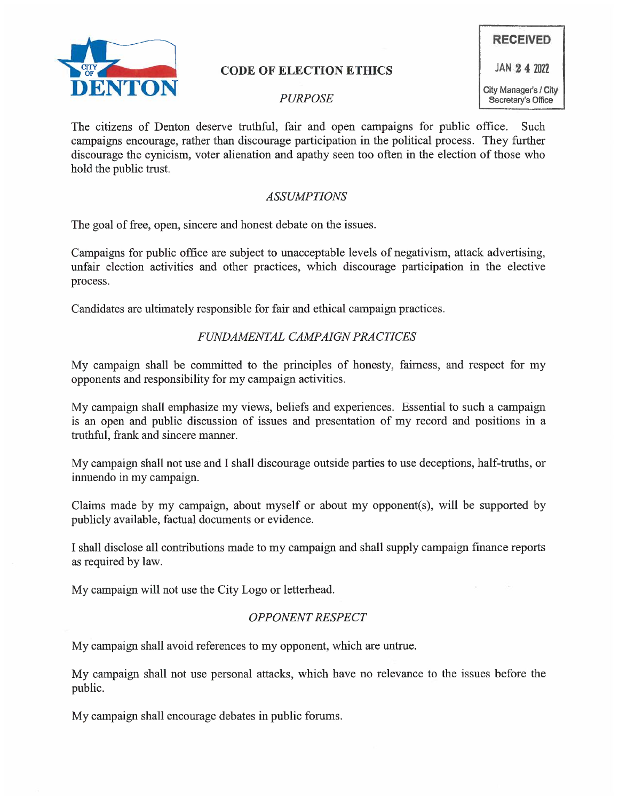

# CODE OF ELECTION ETHICS AND 24 2022

The citizens of Denton deserve truthful, fair and open campaigns for public office. Such campaigns encourage, rather than discourage participation in the political process. They further discourage the cynicism, voter alienation and apathy seen too often in the election of those who hold the public trust.

### ASSUMPTIONS

The goal of free, open, sincere and honest debate on the issues.

Campaigns for public office are subject to unacceptable levels of negativism, attack advertising, unfair election activities and other practices, which discourage participation in the elective process.

Candidates are ultimately responsible for fair and ethical campaign practices.

# FUNDAMENTAL CAMPAIGN PRACTICES

My campaign shall be committed to the principles of honesty, fairness, and respect for my opponents and responsibility for my campaign activities.

My campaign shall emphasize my views, beliefs and experiences. Essential to such a campaign is an open and public discussion of issues and presentation of my record and positions in a truthful, frank and sincere manner.

My campaign shall not use and I shall discourage outside parties to use deceptions, half-truths, or innuendo in my campaign.

Claims made by my campaign, about myself or about my opponent(s), will be supported by publicly available, factual documents or evidence.

I shall disclose all contributions made to my campaign and shall supply campaign finance reports as required by law.

My campaign will not use the City Logo or letterhead.

# OPPONENT RESPECT

My campaign shall avoid references to my opponent, which are untrue.

My campaign shall not use personal attacks, which have no relevance to the issues before the public.

My campaign shall encourage debates in public forums.